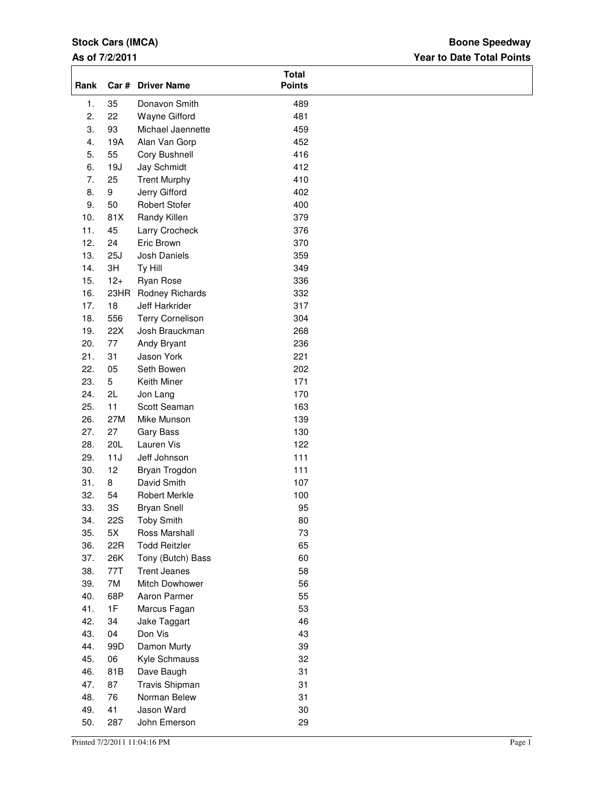## **Stock Cars (IMCA)**

## **As of 7/2/2011**

## **Year to Date Total Points Boone Speedway**

| Rank |            | Car # Driver Name       | <b>Total</b><br><b>Points</b> |  |
|------|------------|-------------------------|-------------------------------|--|
| 1.   | 35         | Donavon Smith           | 489                           |  |
| 2.   | 22         | <b>Wayne Gifford</b>    | 481                           |  |
| 3.   | 93         | Michael Jaennette       | 459                           |  |
| 4.   | 19A        | Alan Van Gorp           | 452                           |  |
| 5.   | 55         | Cory Bushnell           | 416                           |  |
| 6.   | 19J        | Jay Schmidt             | 412                           |  |
| 7.   | 25         | <b>Trent Murphy</b>     | 410                           |  |
| 8.   | 9          | Jerry Gifford           | 402                           |  |
| 9.   | 50         | <b>Robert Stofer</b>    | 400                           |  |
| 10.  | 81X        | Randy Killen            | 379                           |  |
| 11.  | 45         | Larry Crocheck          | 376                           |  |
| 12.  | 24         | Eric Brown              | 370                           |  |
| 13.  | 25J        | Josh Daniels            | 359                           |  |
| 14.  | 3H         | Ty Hill                 | 349                           |  |
| 15.  | $12+$      | Ryan Rose               | 336                           |  |
| 16.  | 23HR       | Rodney Richards         | 332                           |  |
| 17.  | 18         | Jeff Harkrider          | 317                           |  |
| 18.  | 556        | <b>Terry Cornelison</b> | 304                           |  |
| 19.  | 22X        | Josh Brauckman          | 268                           |  |
| 20.  | 77         | Andy Bryant             | 236                           |  |
| 21.  | 31         | Jason York              | 221                           |  |
| 22.  | 05         | Seth Bowen              | 202                           |  |
| 23.  | 5          | Keith Miner             | 171                           |  |
| 24.  | 2L         | Jon Lang                | 170                           |  |
| 25.  | 11         | Scott Seaman            | 163                           |  |
| 26.  | 27M        | Mike Munson             | 139                           |  |
| 27.  | 27         | Gary Bass               | 130                           |  |
| 28.  | 20L        | Lauren Vis              | 122                           |  |
| 29.  | 11J        | Jeff Johnson            | 111                           |  |
| 30.  | 12         | Bryan Trogdon           | 111                           |  |
| 31.  | 8          | David Smith             | 107                           |  |
| 32.  | 54         | Robert Merkle           | 100                           |  |
| 33.  | 3S         | <b>Bryan Snell</b>      | 95                            |  |
| 34.  | <b>22S</b> | <b>Toby Smith</b>       | 80                            |  |
| 35.  | 5X         | Ross Marshall           | 73                            |  |
| 36.  | 22R        | <b>Todd Reitzler</b>    | 65                            |  |
| 37.  | 26K        | Tony (Butch) Bass       | 60                            |  |
| 38.  | 77T        | <b>Trent Jeanes</b>     | 58                            |  |
| 39.  | 7M         | Mitch Dowhower          | 56                            |  |
| 40.  | 68P        | Aaron Parmer            | 55                            |  |
| 41.  | 1F         | Marcus Fagan            | 53                            |  |
| 42.  | 34         | Jake Taggart            | 46                            |  |
| 43.  | 04         | Don Vis                 | 43                            |  |
| 44.  | 99D        | Damon Murty             | 39                            |  |
| 45.  | 06         | Kyle Schmauss           | 32                            |  |
| 46.  | 81B        | Dave Baugh              | 31                            |  |
| 47.  | 87         | Travis Shipman          | 31                            |  |
| 48.  | 76         | Norman Belew            | 31                            |  |
| 49.  | 41         | Jason Ward              | 30                            |  |
| 50.  | 287        | John Emerson            | 29                            |  |